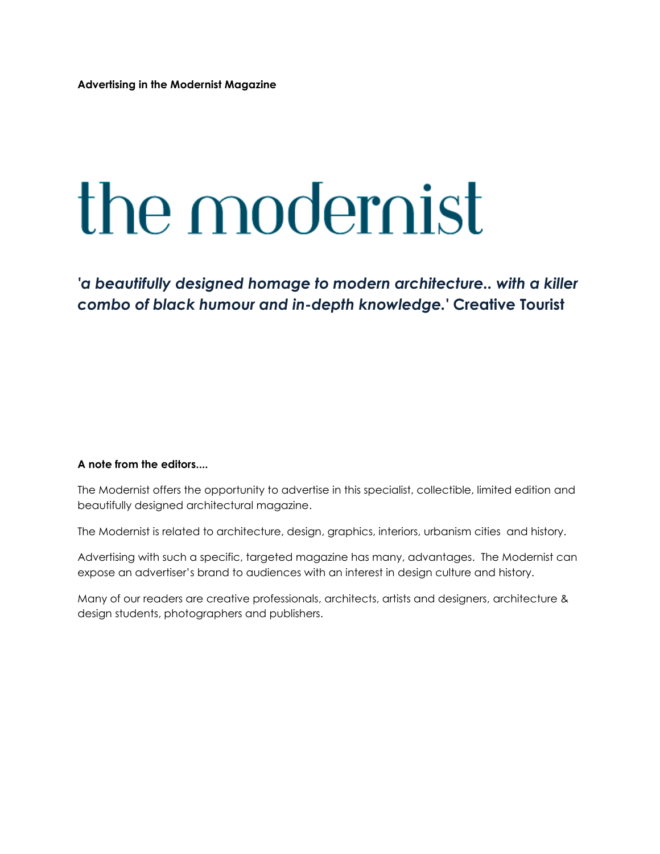# the modernist

*'a beautifully designed homage to modern architecture.. with a killer combo of black humour and in-depth knowledge.'* **Creative Tourist**

#### **A note from the editors....**

The Modernist offers the opportunity to advertise in this specialist, collectible, limited edition and beautifully designed architectural magazine.

The Modernist is related to architecture, design, graphics, interiors, urbanism cities and history.

Advertising with such a specific, targeted magazine has many, advantages. The Modernist can expose an advertiser's brand to audiences with an interest in design culture and history.

Many of our readers are creative professionals, architects, artists and designers, architecture & design students, photographers and publishers.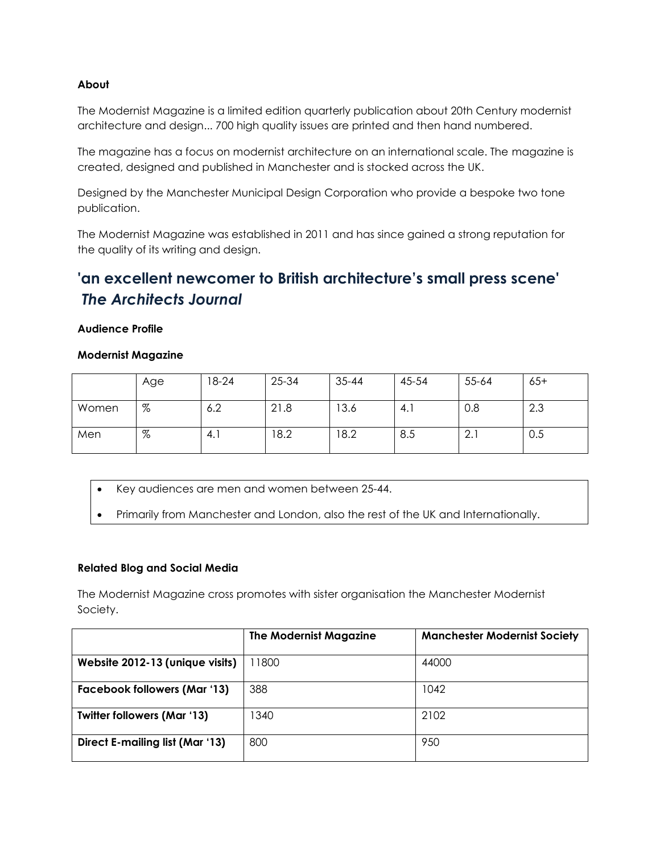### **About**

The Modernist Magazine is a limited edition quarterly publication about 20th Century modernist architecture and design... 700 high quality issues are printed and then hand numbered.

The magazine has a focus on modernist architecture on an international scale. The magazine is created, designed and published in Manchester and is stocked across the UK.

Designed by the Manchester Municipal Design Corporation who provide a bespoke two tone publication.

The Modernist Magazine was established in 2011 and has since gained a strong reputation for the quality of its writing and design.

# **'an excellent newcomer to British architecture's small press scene'**  *The Architects Journal*

#### **Audience Profile**

### **Modernist Magazine**

|       | Age | 18-24 | 25-34 | $35 - 44$ | 45-54 | 55-64     | $65+$ |
|-------|-----|-------|-------|-----------|-------|-----------|-------|
| Women | %   | 6.2   | 21.8  | 13.6      | 4.1   | 0.8       | 2.3   |
| Men   | %   | 4.1   | 8.2   | 18.2      | 8.5   | ⌒<br>z. i | 0.5   |

- Key audiences are men and women between 25-44.
- Primarily from Manchester and London, also the rest of the UK and Internationally.

## **Related Blog and Social Media**

The Modernist Magazine cross promotes with sister organisation the Manchester Modernist Society.

|                                     | <b>The Modernist Magazine</b> | <b>Manchester Modernist Society</b> |
|-------------------------------------|-------------------------------|-------------------------------------|
| Website 2012-13 (unique visits)     | 11800                         | 44000                               |
| <b>Facebook followers (Mar '13)</b> | 388                           | 1042                                |
| <b>Twitter followers (Mar '13)</b>  | 340                           | 2102                                |
| Direct E-mailing list (Mar '13)     | 800                           | 950                                 |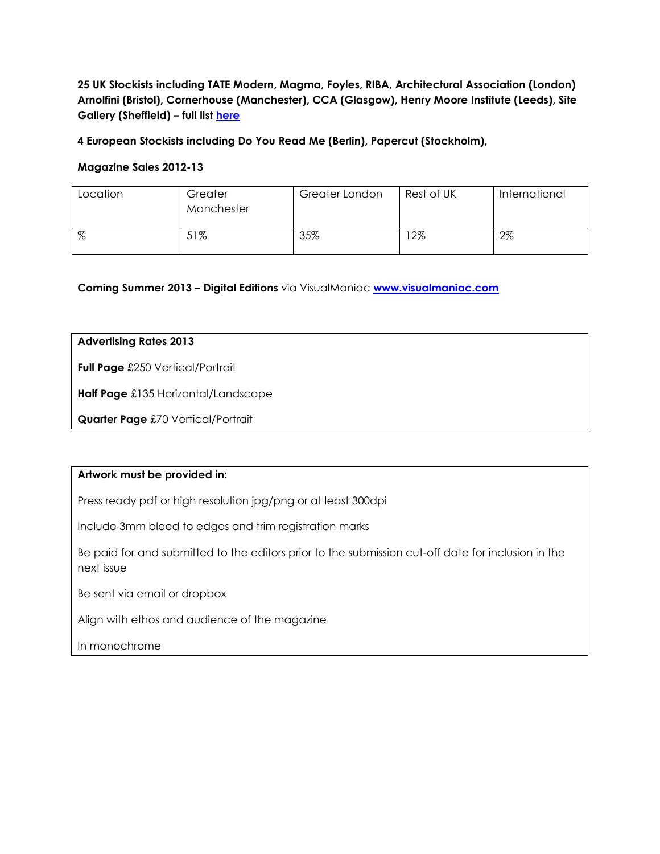**25 UK Stockists including TATE Modern, Magma, Foyles, RIBA, Architectural Association (London) Arnolfini (Bristol), Cornerhouse (Manchester), CCA (Glasgow), Henry Moore Institute (Leeds), Site Gallery (Sheffield) – full list [here](http://www.the-modernist-mag.co.uk/stockists)**

**4 European Stockists including Do You Read Me (Berlin), Papercut (Stockholm),** 

### **Magazine Sales 2012-13**

| Location | Greater<br>Manchester | Greater London | Rest of UK | International |
|----------|-----------------------|----------------|------------|---------------|
| %        | 51%                   | 35%            | $12\%$     | $2\%$         |

**Coming Summer 2013 – Digital Editions** via VisualManiac **[www.visualmaniac.com](http://www.visualmaniac.com/)**

### **Advertising Rates 2013**

**Full Page** £250 Vertical/Portrait

**Half Page** £135 Horizontal/Landscape

**Quarter Page** £70 Vertical/Portrait

#### **Artwork must be provided in:**

Press ready pdf or high resolution jpg/png or at least 300dpi

Include 3mm bleed to edges and trim registration marks

Be paid for and submitted to the editors prior to the submission cut-off date for inclusion in the next issue

Be sent via email or dropbox

Align with ethos and audience of the magazine

In monochrome